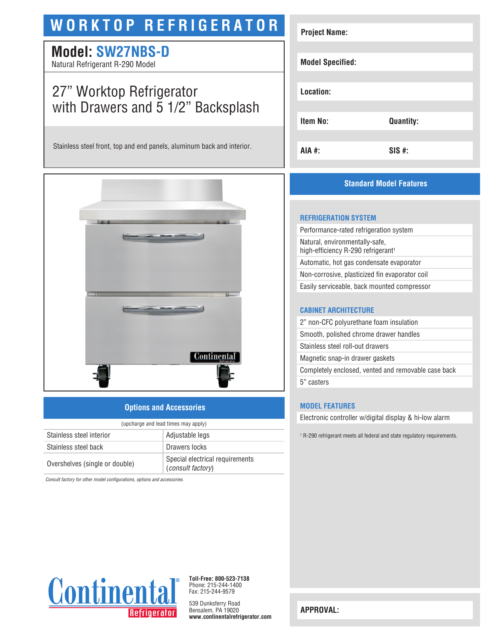# **WORKTOP REFRIGERATOR**

# **Model: SW27NBS-D**

Natural Refrigerant R-290 Model

# 27" Worktop Refrigerator with Drawers and 5 1/2" Backsplash

Stainless steel front, top and end panels, aluminum back and interior.



### **Options and Accessories**

| (upcharge and lead times may apply) |                                                      |  |
|-------------------------------------|------------------------------------------------------|--|
| Stainless steel interior            | Adjustable legs                                      |  |
| Stainless steel back                | Drawers locks                                        |  |
| Overshelves (single or double)      | Special electrical requirements<br>(consult factory) |  |

*Consult factory for other model configurations, options and accessories.*

| <b>Project Name:</b>    |                  |
|-------------------------|------------------|
| <b>Model Specified:</b> |                  |
| Location:               |                  |
| <b>Item No:</b>         | <b>Quantity:</b> |
| AIA #:                  | $SIS$ #:         |

# **Standard Model Features**

#### **REFRIGERATION SYSTEM**

Performance-rated refrigeration system Natural, environmentally-safe, high-efficiency R-290 refrigerant<sup>1</sup> Automatic, hot gas condensate evaporator Non-corrosive, plasticized fin evaporator coil Easily serviceable, back mounted compressor

#### **CABINET ARCHITECTURE**

2" non-CFC polyurethane foam insulation Smooth, polished chrome drawer handles Stainless steel roll-out drawers Magnetic snap-in drawer gaskets Completely enclosed, vented and removable case back 5" casters

#### **MODEL FEATURES**

Electronic controller w/digital display & hi-low alarm

1 R-290 refrigerant meets all federal and state regulatory requirements.



**Toll-Free: 800-523-7138** Phone: 215-244-1400 Fax: 215-244-9579

539 Dunksferry Road Bensalem, PA 19020 **www.continentalrefrigerator.com** 

**APPROVAL:**